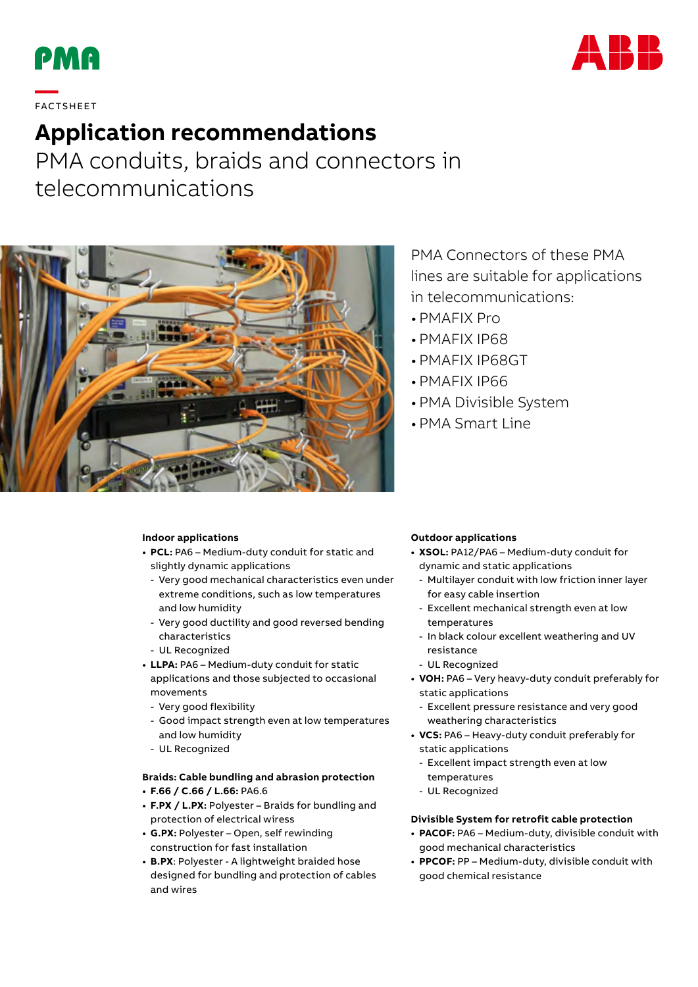



# **—**  FAC TS H EE T

## **Application recommendations**

PMA conduits, braids and connectors in telecommunications



### PMA Connectors of these PMA lines are suitable for applications in telecommunications:

- PMAFIX Pro
- PMAFIX IP68
- PMAFIX IP68GT
- PMAFIX IP66
- PMA Divisible System
- PMA Smart Line

#### **Indoor applications**

- **• PCL:** PA6 Medium-duty conduit for static and slightly dynamic applications
	- Very good mechanical characteristics even under extreme conditions, such as low temperatures and low humidity
	- Very good ductility and good reversed bending characteristics
	- UL Recognized
- **• LLPA:** PA6 Medium-duty conduit for static applications and those subjected to occasional movements
	- Very good flexibility
	- Good impact strength even at low temperatures and low humidity
	- UL Recognized

#### **Braids: Cable bundling and abrasion protection**

- **• F.66 / C.66 / L.66:** PA6.6
- **• F.PX / L.PX:** Polyester Braids for bundling and protection of electrical wiress
- **• G.PX:** Polyester Open, self rewinding construction for fast installation
- **• B.PX**: Polyester A lightweight braided hose designed for bundling and protection of cables and wires

#### **Outdoor applications**

- **• XSOL:** PA12/PA6 Medium-duty conduit for dynamic and static applications
- Multilayer conduit with low friction inner layer for easy cable insertion
- Excellent mechanical strength even at low temperatures
- In black colour excellent weathering and UV resistance
- UL Recognized
- **• VOH:** PA6 Very heavy-duty conduit preferably for static applications
	- Excellent pressure resistance and very good weathering characteristics
- **• VCS:** PA6 Heavy-duty conduit preferably for static applications
	- Excellent impact strength even at low temperatures
	- UL Recognized

#### **Divisible System for retrofit cable protection**

- **• PACOF:** PA6 Medium-duty, divisible conduit with good mechanical characteristics
- **• PPCOF:** PP Medium-duty, divisible conduit with good chemical resistance